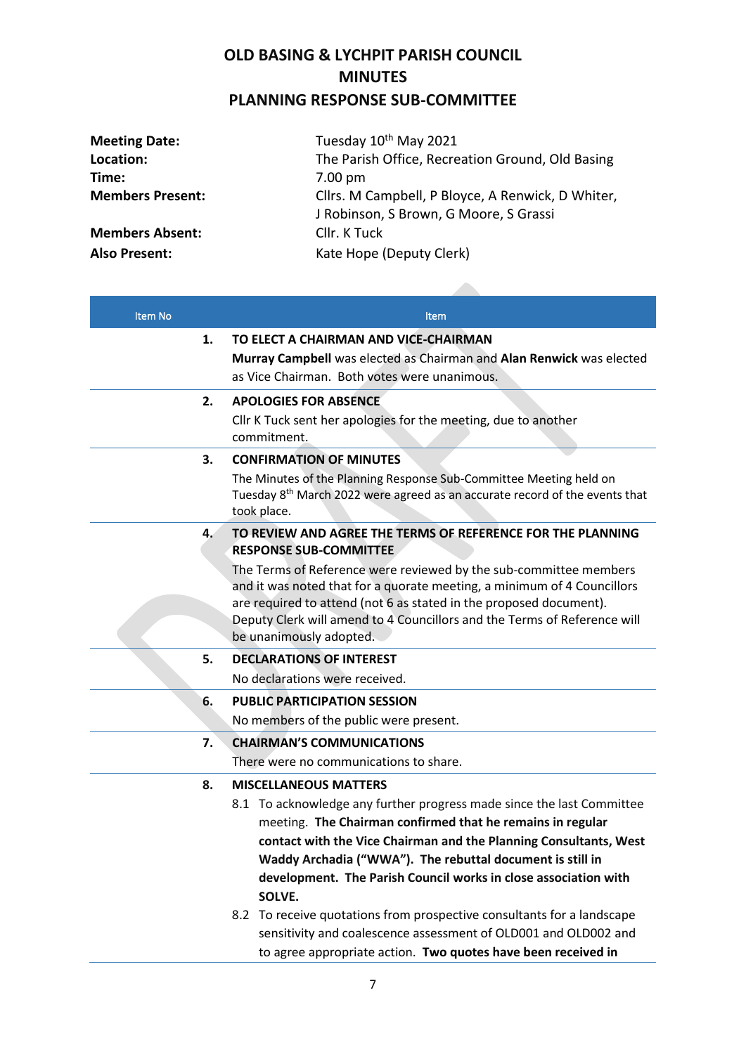## **OLD BASING & LYCHPIT PARISH COUNCIL MINUTES PLANNING RESPONSE SUB-COMMITTEE**

| Tuesday 10 <sup>th</sup> May 2021                 |
|---------------------------------------------------|
| The Parish Office, Recreation Ground, Old Basing  |
| 7.00 pm                                           |
| Cllrs. M Campbell, P Bloyce, A Renwick, D Whiter, |
| J Robinson, S Brown, G Moore, S Grassi            |
| Cllr. K Tuck                                      |
| Kate Hope (Deputy Clerk)                          |
|                                                   |

| Item No | <b>Item</b>                                                                                                                                  |
|---------|----------------------------------------------------------------------------------------------------------------------------------------------|
| 1.      | TO ELECT A CHAIRMAN AND VICE-CHAIRMAN                                                                                                        |
|         | Murray Campbell was elected as Chairman and Alan Renwick was elected                                                                         |
|         | as Vice Chairman. Both votes were unanimous.                                                                                                 |
| 2.      | <b>APOLOGIES FOR ABSENCE</b>                                                                                                                 |
|         | Cllr K Tuck sent her apologies for the meeting, due to another                                                                               |
|         | commitment.                                                                                                                                  |
| 3.      | <b>CONFIRMATION OF MINUTES</b>                                                                                                               |
|         | The Minutes of the Planning Response Sub-Committee Meeting held on                                                                           |
|         | Tuesday 8 <sup>th</sup> March 2022 were agreed as an accurate record of the events that                                                      |
|         | took place.                                                                                                                                  |
| 4.      | TO REVIEW AND AGREE THE TERMS OF REFERENCE FOR THE PLANNING                                                                                  |
|         | <b>RESPONSE SUB-COMMITTEE</b>                                                                                                                |
|         | The Terms of Reference were reviewed by the sub-committee members<br>and it was noted that for a quorate meeting, a minimum of 4 Councillors |
|         | are required to attend (not 6 as stated in the proposed document).                                                                           |
|         | Deputy Clerk will amend to 4 Councillors and the Terms of Reference will                                                                     |
|         | be unanimously adopted.                                                                                                                      |
| 5.      | <b>DECLARATIONS OF INTEREST</b>                                                                                                              |
|         | No declarations were received.                                                                                                               |
| 6.      | <b>PUBLIC PARTICIPATION SESSION</b>                                                                                                          |
|         | No members of the public were present.                                                                                                       |
| 7.      | <b>CHAIRMAN'S COMMUNICATIONS</b>                                                                                                             |
|         | There were no communications to share.                                                                                                       |
| 8.      | <b>MISCELLANEOUS MATTERS</b>                                                                                                                 |
|         | 8.1 To acknowledge any further progress made since the last Committee                                                                        |
|         | meeting. The Chairman confirmed that he remains in regular                                                                                   |
|         | contact with the Vice Chairman and the Planning Consultants, West                                                                            |
|         | Waddy Archadia ("WWA"). The rebuttal document is still in                                                                                    |
|         | development. The Parish Council works in close association with                                                                              |
|         | SOLVE.                                                                                                                                       |
|         | 8.2 To receive quotations from prospective consultants for a landscape                                                                       |
|         | sensitivity and coalescence assessment of OLD001 and OLD002 and                                                                              |
|         | to agree appropriate action. Two quotes have been received in                                                                                |